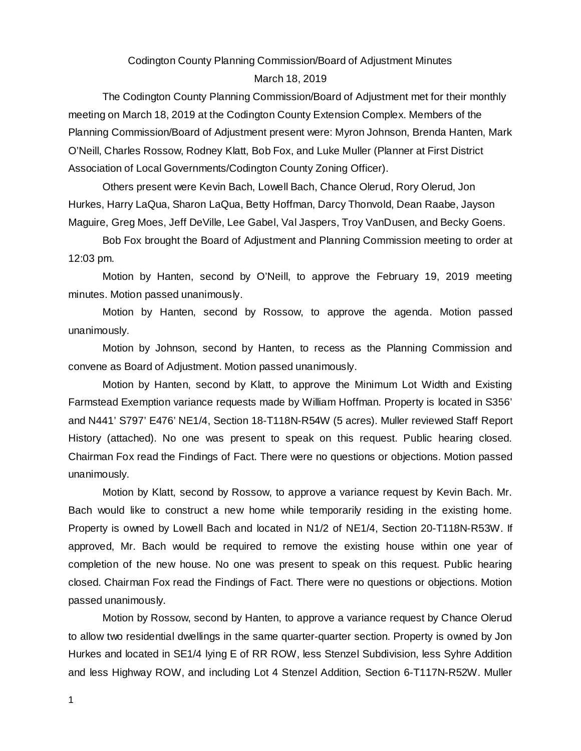# Codington County Planning Commission/Board of Adjustment Minutes March 18, 2019

The Codington County Planning Commission/Board of Adjustment met for their monthly meeting on March 18, 2019 at the Codington County Extension Complex. Members of the Planning Commission/Board of Adjustment present were: Myron Johnson, Brenda Hanten, Mark O'Neill, Charles Rossow, Rodney Klatt, Bob Fox, and Luke Muller (Planner at First District Association of Local Governments/Codington County Zoning Officer).

Others present were Kevin Bach, Lowell Bach, Chance Olerud, Rory Olerud, Jon Hurkes, Harry LaQua, Sharon LaQua, Betty Hoffman, Darcy Thonvold, Dean Raabe, Jayson Maguire, Greg Moes, Jeff DeVille, Lee Gabel, Val Jaspers, Troy VanDusen, and Becky Goens.

Bob Fox brought the Board of Adjustment and Planning Commission meeting to order at 12:03 pm.

Motion by Hanten, second by O'Neill, to approve the February 19, 2019 meeting minutes. Motion passed unanimously.

Motion by Hanten, second by Rossow, to approve the agenda. Motion passed unanimously.

Motion by Johnson, second by Hanten, to recess as the Planning Commission and convene as Board of Adjustment. Motion passed unanimously.

Motion by Hanten, second by Klatt, to approve the Minimum Lot Width and Existing Farmstead Exemption variance requests made by William Hoffman. Property is located in S356' and N441' S797' E476' NE1/4, Section 18-T118N-R54W (5 acres). Muller reviewed Staff Report History (attached). No one was present to speak on this request. Public hearing closed. Chairman Fox read the Findings of Fact. There were no questions or objections. Motion passed unanimously.

Motion by Klatt, second by Rossow, to approve a variance request by Kevin Bach. Mr. Bach would like to construct a new home while temporarily residing in the existing home. Property is owned by Lowell Bach and located in N1/2 of NE1/4, Section 20-T118N-R53W. If approved, Mr. Bach would be required to remove the existing house within one year of completion of the new house. No one was present to speak on this request. Public hearing closed. Chairman Fox read the Findings of Fact. There were no questions or objections. Motion passed unanimously.

Motion by Rossow, second by Hanten, to approve a variance request by Chance Olerud to allow two residential dwellings in the same quarter-quarter section. Property is owned by Jon Hurkes and located in SE1/4 lying E of RR ROW, less Stenzel Subdivision, less Syhre Addition and less Highway ROW, and including Lot 4 Stenzel Addition, Section 6-T117N-R52W. Muller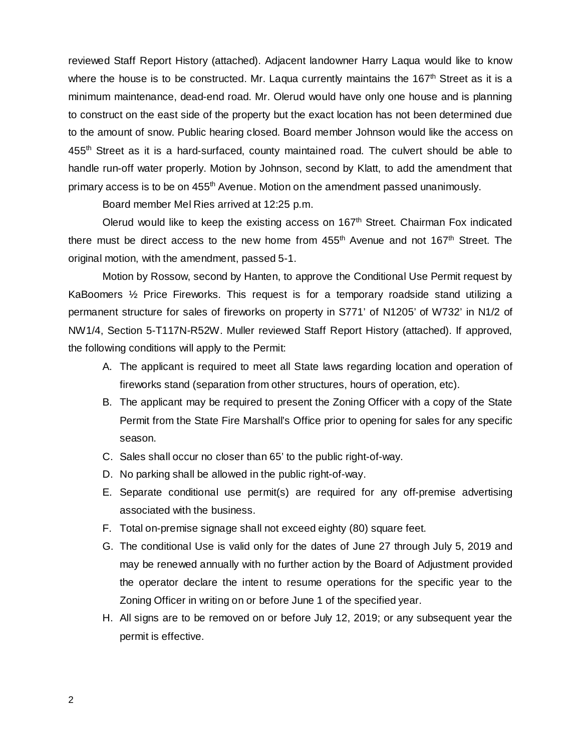reviewed Staff Report History (attached). Adjacent landowner Harry Laqua would like to know where the house is to be constructed. Mr. Laqua currently maintains the 167<sup>th</sup> Street as it is a minimum maintenance, dead-end road. Mr. Olerud would have only one house and is planning to construct on the east side of the property but the exact location has not been determined due to the amount of snow. Public hearing closed. Board member Johnson would like the access on 455<sup>th</sup> Street as it is a hard-surfaced, county maintained road. The culvert should be able to handle run-off water properly. Motion by Johnson, second by Klatt, to add the amendment that primary access is to be on 455<sup>th</sup> Avenue. Motion on the amendment passed unanimously.

Board member Mel Ries arrived at 12:25 p.m.

Olerud would like to keep the existing access on 167<sup>th</sup> Street. Chairman Fox indicated there must be direct access to the new home from 455<sup>th</sup> Avenue and not 167<sup>th</sup> Street. The original motion, with the amendment, passed 5-1.

Motion by Rossow, second by Hanten, to approve the Conditional Use Permit request by KaBoomers ½ Price Fireworks. This request is for a temporary roadside stand utilizing a permanent structure for sales of fireworks on property in S771' of N1205' of W732' in N1/2 of NW1/4, Section 5-T117N-R52W. Muller reviewed Staff Report History (attached). If approved, the following conditions will apply to the Permit:

- A. The applicant is required to meet all State laws regarding location and operation of fireworks stand (separation from other structures, hours of operation, etc).
- B. The applicant may be required to present the Zoning Officer with a copy of the State Permit from the State Fire Marshall's Office prior to opening for sales for any specific season.
- C. Sales shall occur no closer than 65' to the public right-of-way.
- D. No parking shall be allowed in the public right-of-way.
- E. Separate conditional use permit(s) are required for any off-premise advertising associated with the business.
- F. Total on-premise signage shall not exceed eighty (80) square feet.
- G. The conditional Use is valid only for the dates of June 27 through July 5, 2019 and may be renewed annually with no further action by the Board of Adjustment provided the operator declare the intent to resume operations for the specific year to the Zoning Officer in writing on or before June 1 of the specified year.
- H. All signs are to be removed on or before July 12, 2019; or any subsequent year the permit is effective.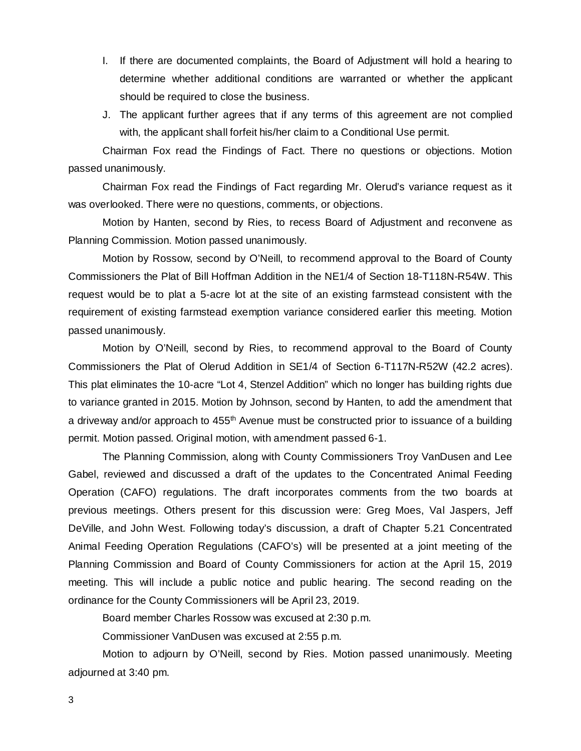- I. If there are documented complaints, the Board of Adjustment will hold a hearing to determine whether additional conditions are warranted or whether the applicant should be required to close the business.
- J. The applicant further agrees that if any terms of this agreement are not complied with, the applicant shall forfeit his/her claim to a Conditional Use permit.

Chairman Fox read the Findings of Fact. There no questions or objections. Motion passed unanimously.

Chairman Fox read the Findings of Fact regarding Mr. Olerud's variance request as it was overlooked. There were no questions, comments, or objections.

Motion by Hanten, second by Ries, to recess Board of Adjustment and reconvene as Planning Commission. Motion passed unanimously.

Motion by Rossow, second by O'Neill, to recommend approval to the Board of County Commissioners the Plat of Bill Hoffman Addition in the NE1/4 of Section 18-T118N-R54W. This request would be to plat a 5-acre lot at the site of an existing farmstead consistent with the requirement of existing farmstead exemption variance considered earlier this meeting. Motion passed unanimously.

Motion by O'Neill, second by Ries, to recommend approval to the Board of County Commissioners the Plat of Olerud Addition in SE1/4 of Section 6-T117N-R52W (42.2 acres). This plat eliminates the 10-acre "Lot 4, Stenzel Addition" which no longer has building rights due to variance granted in 2015. Motion by Johnson, second by Hanten, to add the amendment that a driveway and/or approach to 455<sup>th</sup> Avenue must be constructed prior to issuance of a building permit. Motion passed. Original motion, with amendment passed 6-1.

The Planning Commission, along with County Commissioners Troy VanDusen and Lee Gabel, reviewed and discussed a draft of the updates to the Concentrated Animal Feeding Operation (CAFO) regulations. The draft incorporates comments from the two boards at previous meetings. Others present for this discussion were: Greg Moes, Val Jaspers, Jeff DeVille, and John West. Following today's discussion, a draft of Chapter 5.21 Concentrated Animal Feeding Operation Regulations (CAFO's) will be presented at a joint meeting of the Planning Commission and Board of County Commissioners for action at the April 15, 2019 meeting. This will include a public notice and public hearing. The second reading on the ordinance for the County Commissioners will be April 23, 2019.

Board member Charles Rossow was excused at 2:30 p.m.

Commissioner VanDusen was excused at 2:55 p.m.

Motion to adjourn by O'Neill, second by Ries. Motion passed unanimously. Meeting adjourned at 3:40 pm.

3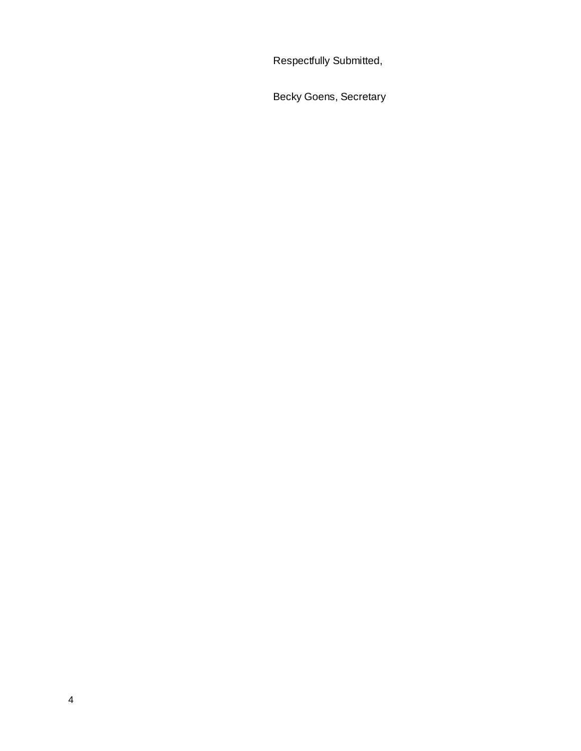Respectfully Submitted,

Becky Goens, Secretary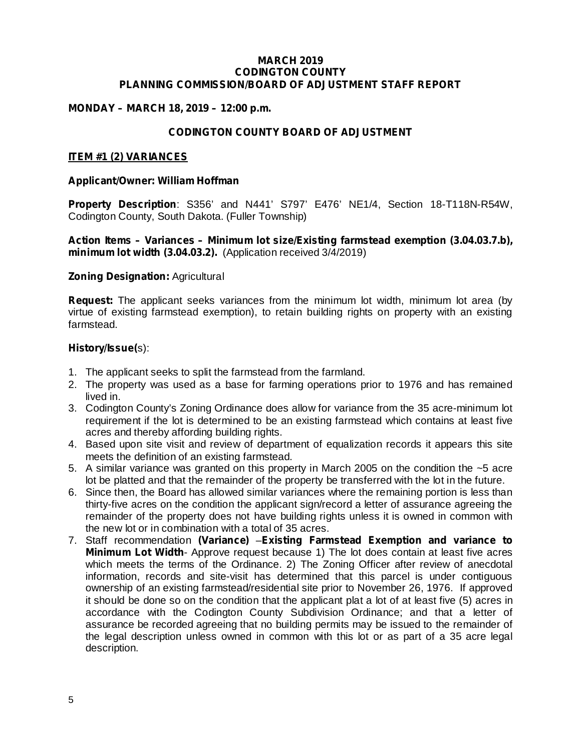#### **MARCH 2019 CODINGTON COUNTY PLANNING COMMISSION/BOARD OF ADJUSTMENT STAFF REPORT**

### **MONDAY – MARCH 18, 2019 – 12:00 p.m.**

### **CODINGTON COUNTY BOARD OF ADJUSTMENT**

#### **ITEM #1 (2) VARIANCES**

#### **Applicant/Owner: William Hoffman**

Property Description: S356' and N441' S797' E476' NE1/4, Section 18-T118N-R54W, Codington County, South Dakota. (Fuller Township)

#### **minimum lot width (3.04.03.2).** (Application received 3/4/2019) **Action Items – Variances – Minimum lot size/Existing farmstead exemption (3.04.03.7.b),**

#### **Zoning Designation: Agricultural**

**Request:** The applicant seeks variances from the minimum lot width, minimum lot area (by virtue of existing farmstead exemption), to retain building rights on property with an existing farmstead.

#### s): **History/Issue(**

- 1. The applicant seeks to split the farmstead from the farmland.
- 2. The property was used as a base for farming operations prior to 1976 and has remained lived in.
- 3. Codington County's Zoning Ordinance does allow for variance from the 35 acre-minimum lot requirement if the lot is determined to be an existing farmstead which contains at least five acres and thereby affording building rights.
- 4. Based upon site visit and review of department of equalization records it appears this site meets the definition of an existing farmstead.
- 5. A similar variance was granted on this property in March 2005 on the condition the ~5 acre lot be platted and that the remainder of the property be transferred with the lot in the future.
- 6. Since then, the Board has allowed similar variances where the remaining portion is less than thirty-five acres on the condition the applicant sign/record a letter of assurance agreeing the remainder of the property does not have building rights unless it is owned in common with the new lot or in combination with a total of 35 acres.
- 7. Staff recommendation (Variance) Existing Farmstead Exemption and variance to *Minimum Lot Width*- Approve request because 1) The lot does contain at least five acres which meets the terms of the Ordinance. 2) The Zoning Officer after review of anecdotal information, records and site-visit has determined that this parcel is under contiguous ownership of an existing farmstead/residential site prior to November 26, 1976. If approved it should be done so on the condition that the applicant plat a lot of at least five (5) acres in accordance with the Codington County Subdivision Ordinance; and that a letter of assurance be recorded agreeing that no building permits may be issued to the remainder of the legal description unless owned in common with this lot or as part of a 35 acre legal description.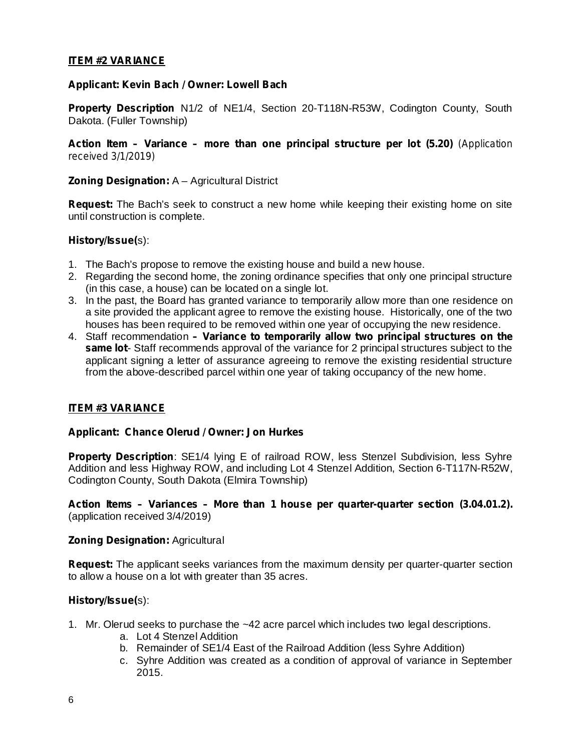### **ITEM #2 VARIANCE**

### **Applicant: Kevin Bach / Owner: Lowell Bach**

**Property Description** N1/2 of NE1/4, Section 20-T118N-R53W, Codington County, South Dakota. (Fuller Township)

*Action Item – Variance – more than one principal structure per lot (5.20) (Application received 3/1/2019)*

### **Zoning Designation: A - Agricultural District**

Request: The Bach's seek to construct a new home while keeping their existing home on site until construction is complete.

### s): **History/Issue(**

- 1. The Bach's propose to remove the existing house and build a new house.
- 2. Regarding the second home, the zoning ordinance specifies that only one principal structure (in this case, a house) can be located on a single lot.
- 3. In the past, the Board has granted variance to temporarily allow more than one residence on a site provided the applicant agree to remove the existing house. Historically, one of the two houses has been required to be removed within one year of occupying the new residence.
- 4. Staff recommendation *– Variance to temporarily allow two principal structures on the* same lot-Staff recommends approval of the variance for 2 principal structures subject to the applicant signing a letter of assurance agreeing to remove the existing residential structure from the above-described parcel within one year of taking occupancy of the new home.

### **ITEM #3 VARIANCE**

#### **Applicant: Chance Olerud / Owner: Jon Hurkes**

Property Description: SE1/4 lying E of railroad ROW, less Stenzel Subdivision, less Syhre Addition and less Highway ROW, and including Lot 4 Stenzel Addition, Section 6-T117N-R52W, Codington County, South Dakota (Elmira Township)

(application received 3/4/2019) **Action Items – Variances – More than 1 house per quarter-quarter section (3.04.01.2).**

#### **Zoning Designation: Agricultural**

Request: The applicant seeks variances from the maximum density per quarter-quarter section to allow a house on a lot with greater than 35 acres.

#### s): **History/Issue(**

- 1. Mr. Olerud seeks to purchase the ~42 acre parcel which includes two legal descriptions.
	- a. Lot 4 Stenzel Addition
	- b. Remainder of SE1/4 East of the Railroad Addition (less Syhre Addition)
	- c. Syhre Addition was created as a condition of approval of variance in September 2015.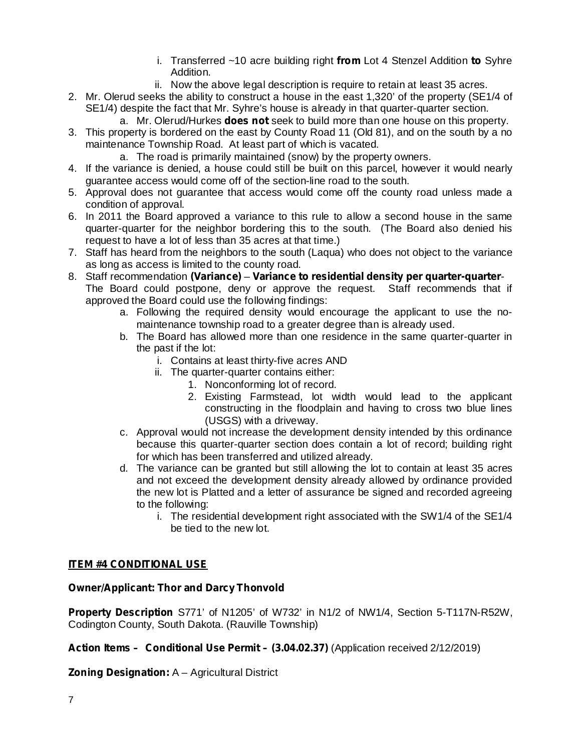- i. Transferred ~10 acre building right from Lot 4 Stenzel Addition to Syhre Addition.
- ii. Now the above legal description is require to retain at least 35 acres.
- 2. Mr. Olerud seeks the ability to construct a house in the east 1,320' of the property (SE1/4 of SE1/4) despite the fact that Mr. Syhre's house is already in that quarter-quarter section.
	- a. Mr. Olerud/Hurkes **does not** seek to build more than one house on this property.
- 3. This property is bordered on the east by County Road 11 (Old 81), and on the south by a no maintenance Township Road. At least part of which is vacated.
	- a. The road is primarily maintained (snow) by the property owners.
- 4. If the variance is denied, a house could still be built on this parcel, however it would nearly guarantee access would come off of the section-line road to the south.
- 5. Approval does not guarantee that access would come off the county road unless made a condition of approval.
- 6. In 2011 the Board approved a variance to this rule to allow a second house in the same quarter-quarter for the neighbor bordering this to the south. (The Board also denied his request to have a lot of less than 35 acres at that time.)
- 7. Staff has heard from the neighbors to the south (Laqua) who does not object to the variance as long as access is limited to the county road.
- 8. Staff recommendation (Variance) Variance to residential density per quarter-quarter-The Board could postpone, deny or approve the request. Staff recommends that if approved the Board could use the following findings:
	- a. Following the required density would encourage the applicant to use the nomaintenance township road to a greater degree than is already used.
	- b. The Board has allowed more than one residence in the same quarter-quarter in the past if the lot:
		- i. Contains at least thirty-five acres AND
		- ii. The quarter-quarter contains either:
			- 1. Nonconforming lot of record.
				- 2. Existing Farmstead, lot width would lead to the applicant constructing in the floodplain and having to cross two blue lines (USGS) with a driveway.
	- c. Approval would not increase the development density intended by this ordinance because this quarter-quarter section does contain a lot of record; building right for which has been transferred and utilized already.
	- d. The variance can be granted but still allowing the lot to contain at least 35 acres and not exceed the development density already allowed by ordinance provided the new lot is Platted and a letter of assurance be signed and recorded agreeing to the following:
		- i. The residential development right associated with the SW1/4 of the SE1/4 be tied to the new lot.

### **ITEM #4 CONDITIONAL USE**

#### **Owner/Applicant: Thor and Darcy Thonvold**

Property Description S771' of N1205' of W732' in N1/2 of NW1/4, Section 5-T117N-R52W, Codington County, South Dakota. (Rauville Township)

### **Action Items – Conditional Use Permit – (3.04.02.37)** (Application received 2/12/2019)

**Zoning Designation: A - Agricultural District**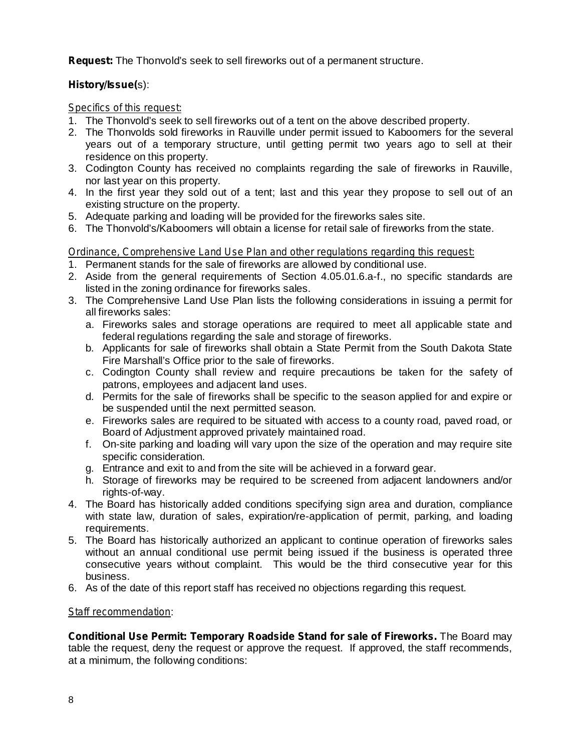Request: The Thonvold's seek to sell fireworks out of a permanent structure.

# s): **History/Issue(**

### *Specifics of this request:*

- 1. The Thonvold's seek to sell fireworks out of a tent on the above described property.
- 2. The Thonvolds sold fireworks in Rauville under permit issued to Kaboomers for the several years out of a temporary structure, until getting permit two years ago to sell at their residence on this property.
- 3. Codington County has received no complaints regarding the sale of fireworks in Rauville, nor last year on this property.
- 4. In the first year they sold out of a tent; last and this year they propose to sell out of an existing structure on the property.
- 5. Adequate parking and loading will be provided for the fireworks sales site.
- 6. The Thonvold's/Kaboomers will obtain a license for retail sale of fireworks from the state.

# *Ordinance, Comprehensive Land Use Plan and other regulations regarding this request:*

- 1. Permanent stands for the sale of fireworks are allowed by conditional use.
- 2. Aside from the general requirements of Section 4.05.01.6.a-f., no specific standards are listed in the zoning ordinance for fireworks sales.
- 3. The Comprehensive Land Use Plan lists the following considerations in issuing a permit for all fireworks sales:
	- a. Fireworks sales and storage operations are required to meet all applicable state and federal regulations regarding the sale and storage of fireworks.
	- b. Applicants for sale of fireworks shall obtain a State Permit from the South Dakota State Fire Marshall's Office prior to the sale of fireworks.
	- c. Codington County shall review and require precautions be taken for the safety of patrons, employees and adjacent land uses.
	- d. Permits for the sale of fireworks shall be specific to the season applied for and expire or be suspended until the next permitted season.
	- e. Fireworks sales are required to be situated with access to a county road, paved road, or Board of Adjustment approved privately maintained road.
	- f. On-site parking and loading will vary upon the size of the operation and may require site specific consideration.
	- g. Entrance and exit to and from the site will be achieved in a forward gear.
	- h. Storage of fireworks may be required to be screened from adjacent landowners and/or rights-of-way.
- 4. The Board has historically added conditions specifying sign area and duration, compliance with state law, duration of sales, expiration/re-application of permit, parking, and loading requirements.
- 5. The Board has historically authorized an applicant to continue operation of fireworks sales without an annual conditional use permit being issued if the business is operated three consecutive years without complaint. This would be the third consecutive year for this business.
- 6. As of the date of this report staff has received no objections regarding this request.

### : *Staff recommendation*

*Conditional Use Permit: Temporary Roadside Stand for sale of Fireworks. The Board may* table the request, deny the request or approve the request. If approved, the staff recommends, at a minimum, the following conditions: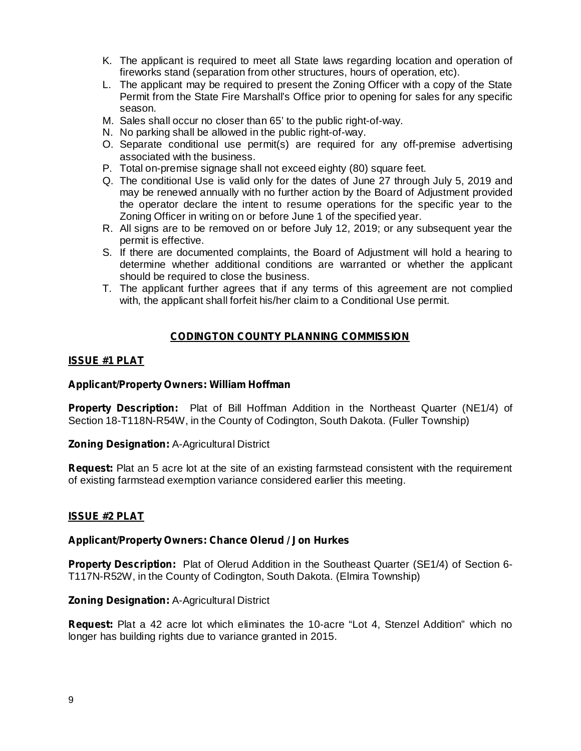- K. The applicant is required to meet all State laws regarding location and operation of fireworks stand (separation from other structures, hours of operation, etc).
- L. The applicant may be required to present the Zoning Officer with a copy of the State Permit from the State Fire Marshall's Office prior to opening for sales for any specific season.
- M. Sales shall occur no closer than 65' to the public right-of-way.
- N. No parking shall be allowed in the public right-of-way.
- O. Separate conditional use permit(s) are required for any off-premise advertising associated with the business.
- P. Total on-premise signage shall not exceed eighty (80) square feet.
- Q. The conditional Use is valid only for the dates of June 27 through July 5, 2019 and may be renewed annually with no further action by the Board of Adjustment provided the operator declare the intent to resume operations for the specific year to the Zoning Officer in writing on or before June 1 of the specified year.
- R. All signs are to be removed on or before July 12, 2019; or any subsequent year the permit is effective.
- S. If there are documented complaints, the Board of Adjustment will hold a hearing to determine whether additional conditions are warranted or whether the applicant should be required to close the business.
- T. The applicant further agrees that if any terms of this agreement are not complied with, the applicant shall forfeit his/her claim to a Conditional Use permit.

### **CODINGTON COUNTY PLANNING COMMISSION**

#### **ISSUE #1 PLAT**

### **Applicant/Property Owners: William Hoffman**

**Property Description:** Plat of Bill Hoffman Addition in the Northeast Quarter (NE1/4) of Section 18-T118N-R54W, in the County of Codington, South Dakota. (Fuller Township)

**Zoning Designation: A-Agricultural District** 

**Request:** Plat an 5 acre lot at the site of an existing farmstead consistent with the requirement of existing farmstead exemption variance considered earlier this meeting.

#### **ISSUE #2 PLAT**

#### **Applicant/Property Owners: Chance Olerud / Jon Hurkes**

Property Description: Plat of Olerud Addition in the Southeast Quarter (SE1/4) of Section 6-T117N-R52W, in the County of Codington, South Dakota. (Elmira Township)

**Zoning Designation: A-Agricultural District** 

Request: Plat a 42 acre lot which eliminates the 10-acre "Lot 4, Stenzel Addition" which no longer has building rights due to variance granted in 2015.